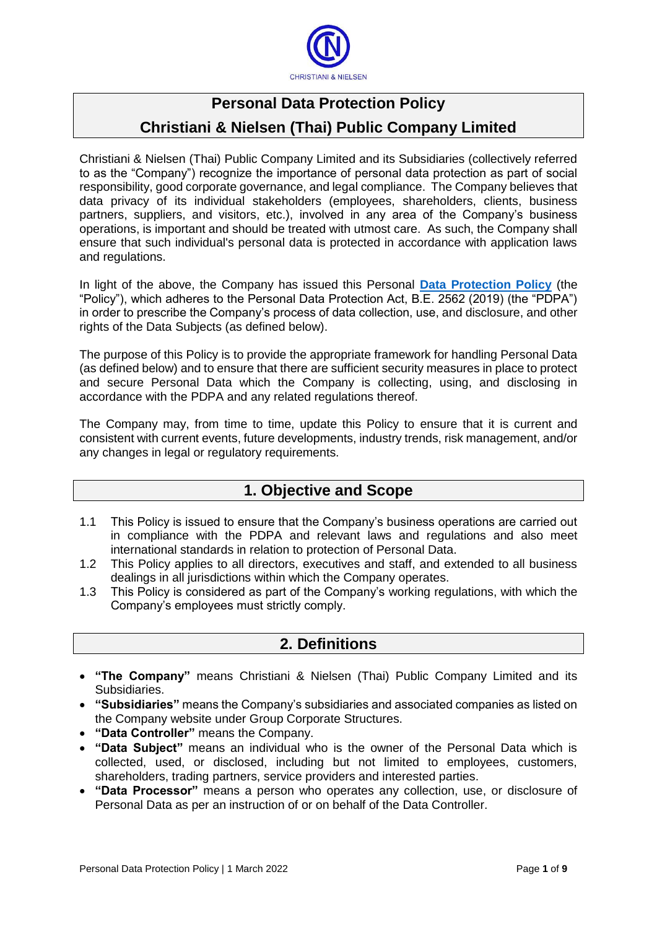

# **Personal Data Protection Policy Christiani & Nielsen (Thai) Public Company Limited**

Christiani & Nielsen (Thai) Public Company Limited and its Subsidiaries (collectively referred to as the "Company") recognize the importance of personal data protection as part of social responsibility, good corporate governance, and legal compliance. The Company believes that data privacy of its individual stakeholders (employees, shareholders, clients, business partners, suppliers, and visitors, etc.), involved in any area of the Company's business operations, is important and should be treated with utmost care. As such, the Company shall ensure that such individual's personal data is protected in accordance with application laws and regulations.

In light of the above, the Company has issued this Personal **[Data Protection Policy](http://cntiweb.cn-thai.co.th:82/ImageSlide/CNT_PDP_Policy_En.pdf)** (the "Policy"), which adheres to the Personal Data Protection Act, B.E. 2562 (2019) (the "PDPA") in order to prescribe the Company's process of data collection, use, and disclosure, and other rights of the Data Subjects (as defined below).

The purpose of this Policy is to provide the appropriate framework for handling Personal Data (as defined below) and to ensure that there are sufficient security measures in place to protect and secure Personal Data which the Company is collecting, using, and disclosing in accordance with the PDPA and any related regulations thereof.

The Company may, from time to time, update this Policy to ensure that it is current and consistent with current events, future developments, industry trends, risk management, and/or any changes in legal or regulatory requirements.

## **1. Objective and Scope**

- 1.1 This Policy is issued to ensure that the Company's business operations are carried out in compliance with the PDPA and relevant laws and regulations and also meet international standards in relation to protection of Personal Data.
- 1.2 This Policy applies to all directors, executives and staff, and extended to all business dealings in all jurisdictions within which the Company operates.
- 1.3 This Policy is considered as part of the Company's working regulations, with which the Company's employees must strictly comply.

## **2. Definitions**

- **"The Company"** means Christiani & Nielsen (Thai) Public Company Limited and its Subsidiaries.
- **"Subsidiaries"** means the Company's subsidiaries and associated companies as listed on the Company website under Group Corporate Structures.
- **"Data Controller"** means the Company.
- **"Data Subject"** means an individual who is the owner of the Personal Data which is collected, used, or disclosed, including but not limited to employees, customers, shareholders, trading partners, service providers and interested parties.
- **"Data Processor"** means a person who operates any collection, use, or disclosure of Personal Data as per an instruction of or on behalf of the Data Controller.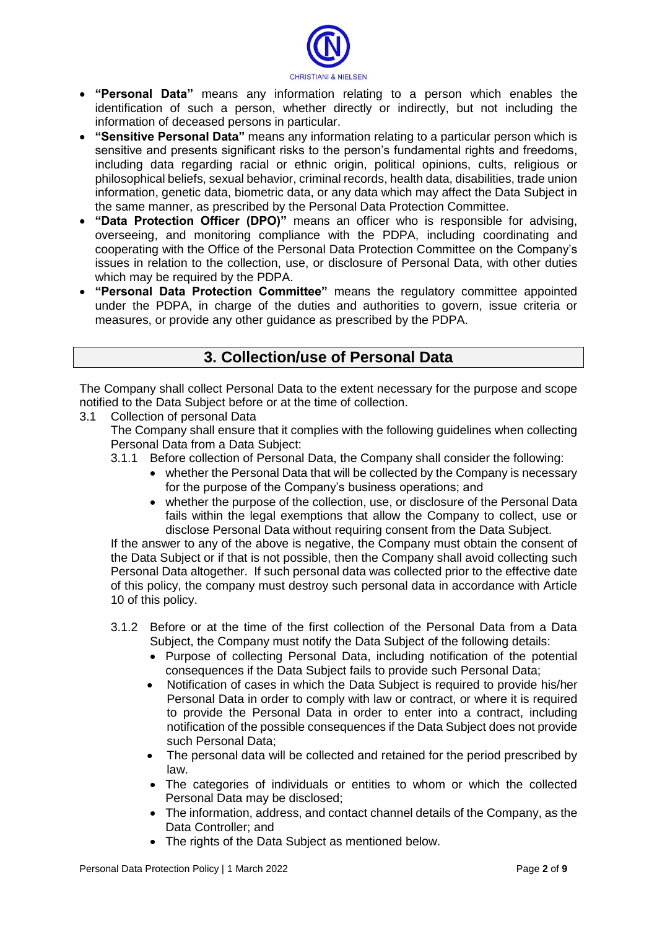

- **"Personal Data"** means any information relating to a person which enables the identification of such a person, whether directly or indirectly, but not including the information of deceased persons in particular.
- **"Sensitive Personal Data"** means any information relating to a particular person which is sensitive and presents significant risks to the person's fundamental rights and freedoms, including data regarding racial or ethnic origin, political opinions, cults, religious or philosophical beliefs, sexual behavior, criminal records, health data, disabilities, trade union information, genetic data, biometric data, or any data which may affect the Data Subject in the same manner, as prescribed by the Personal Data Protection Committee.
- **"Data Protection Officer (DPO)"** means an officer who is responsible for advising, overseeing, and monitoring compliance with the PDPA, including coordinating and cooperating with the Office of the Personal Data Protection Committee on the Company's issues in relation to the collection, use, or disclosure of Personal Data, with other duties which may be required by the PDPA.
- **"Personal Data Protection Committee"** means the regulatory committee appointed under the PDPA, in charge of the duties and authorities to govern, issue criteria or measures, or provide any other guidance as prescribed by the PDPA.

## **3. Collection/use of Personal Data**

The Company shall collect Personal Data to the extent necessary for the purpose and scope notified to the Data Subject before or at the time of collection.

#### 3.1 Collection of personal Data

The Company shall ensure that it complies with the following guidelines when collecting Personal Data from a Data Subject:

3.1.1 Before collection of Personal Data, the Company shall consider the following:

- whether the Personal Data that will be collected by the Company is necessary for the purpose of the Company's business operations; and
- whether the purpose of the collection, use, or disclosure of the Personal Data fails within the legal exemptions that allow the Company to collect, use or disclose Personal Data without requiring consent from the Data Subject.

If the answer to any of the above is negative, the Company must obtain the consent of the Data Subject or if that is not possible, then the Company shall avoid collecting such Personal Data altogether. If such personal data was collected prior to the effective date of this policy, the company must destroy such personal data in accordance with Article 10 of this policy.

- 3.1.2 Before or at the time of the first collection of the Personal Data from a Data Subject, the Company must notify the Data Subject of the following details:
	- Purpose of collecting Personal Data, including notification of the potential consequences if the Data Subject fails to provide such Personal Data;
	- Notification of cases in which the Data Subject is required to provide his/her Personal Data in order to comply with law or contract, or where it is required to provide the Personal Data in order to enter into a contract, including notification of the possible consequences if the Data Subject does not provide such Personal Data;
	- The personal data will be collected and retained for the period prescribed by law.
	- The categories of individuals or entities to whom or which the collected Personal Data may be disclosed;
	- The information, address, and contact channel details of the Company, as the Data Controller; and
	- The rights of the Data Subject as mentioned below.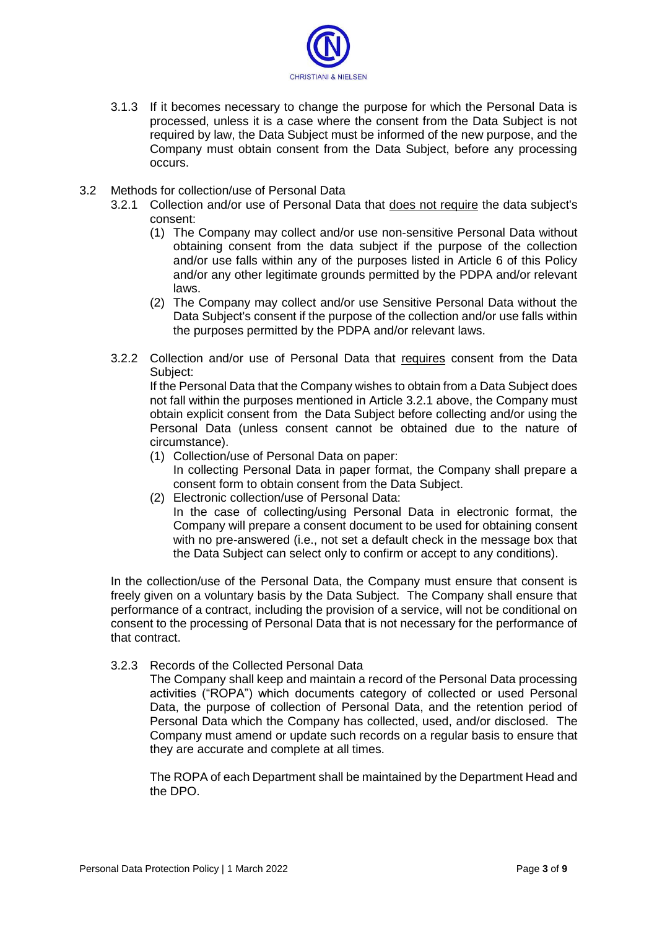

- 3.1.3 If it becomes necessary to change the purpose for which the Personal Data is processed, unless it is a case where the consent from the Data Subject is not required by law, the Data Subject must be informed of the new purpose, and the Company must obtain consent from the Data Subject, before any processing occurs.
- 3.2 Methods for collection/use of Personal Data
	- 3.2.1 Collection and/or use of Personal Data that does not require the data subject's consent:
		- (1) The Company may collect and/or use non-sensitive Personal Data without obtaining consent from the data subject if the purpose of the collection and/or use falls within any of the purposes listed in Article 6 of this Policy and/or any other legitimate grounds permitted by the PDPA and/or relevant laws.
		- (2) The Company may collect and/or use Sensitive Personal Data without the Data Subject's consent if the purpose of the collection and/or use falls within the purposes permitted by the PDPA and/or relevant laws.
	- 3.2.2 Collection and/or use of Personal Data that requires consent from the Data Subject:

If the Personal Data that the Company wishes to obtain from a Data Subject does not fall within the purposes mentioned in Article 3.2.1 above, the Company must obtain explicit consent from the Data Subject before collecting and/or using the Personal Data (unless consent cannot be obtained due to the nature of circumstance).

- (1) Collection/use of Personal Data on paper: In collecting Personal Data in paper format, the Company shall prepare a consent form to obtain consent from the Data Subject.
- (2) Electronic collection/use of Personal Data: In the case of collecting/using Personal Data in electronic format, the Company will prepare a consent document to be used for obtaining consent with no pre-answered (i.e., not set a default check in the message box that the Data Subject can select only to confirm or accept to any conditions).

In the collection/use of the Personal Data, the Company must ensure that consent is freely given on a voluntary basis by the Data Subject. The Company shall ensure that performance of a contract, including the provision of a service, will not be conditional on consent to the processing of Personal Data that is not necessary for the performance of that contract.

3.2.3 Records of the Collected Personal Data

The Company shall keep and maintain a record of the Personal Data processing activities ("ROPA") which documents category of collected or used Personal Data, the purpose of collection of Personal Data, and the retention period of Personal Data which the Company has collected, used, and/or disclosed. The Company must amend or update such records on a regular basis to ensure that they are accurate and complete at all times.

The ROPA of each Department shall be maintained by the Department Head and the DPO.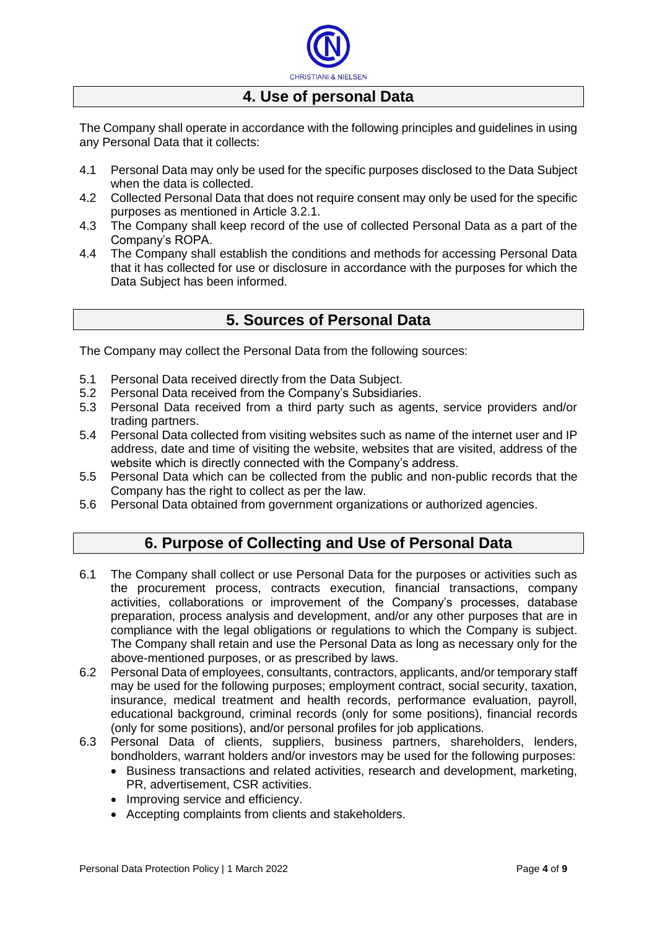

### **4. Use of personal Data**

The Company shall operate in accordance with the following principles and guidelines in using any Personal Data that it collects:

- 4.1 Personal Data may only be used for the specific purposes disclosed to the Data Subject when the data is collected.
- 4.2 Collected Personal Data that does not require consent may only be used for the specific purposes as mentioned in Article 3.2.1.
- 4.3 The Company shall keep record of the use of collected Personal Data as a part of the Company's ROPA.
- 4.4 The Company shall establish the conditions and methods for accessing Personal Data that it has collected for use or disclosure in accordance with the purposes for which the Data Subject has been informed.

### **5. Sources of Personal Data**

The Company may collect the Personal Data from the following sources:

- 5.1 Personal Data received directly from the Data Subject.
- 5.2 Personal Data received from the Company's Subsidiaries.
- 5.3 Personal Data received from a third party such as agents, service providers and/or trading partners.
- 5.4 Personal Data collected from visiting websites such as name of the internet user and IP address, date and time of visiting the website, websites that are visited, address of the website which is directly connected with the Company's address.
- 5.5 Personal Data which can be collected from the public and non-public records that the Company has the right to collect as per the law.
- 5.6 Personal Data obtained from government organizations or authorized agencies.

### **6. Purpose of Collecting and Use of Personal Data**

- 6.1 The Company shall collect or use Personal Data for the purposes or activities such as the procurement process, contracts execution, financial transactions, company activities, collaborations or improvement of the Company's processes, database preparation, process analysis and development, and/or any other purposes that are in compliance with the legal obligations or regulations to which the Company is subject. The Company shall retain and use the Personal Data as long as necessary only for the above-mentioned purposes, or as prescribed by laws.
- 6.2 Personal Data of employees, consultants, contractors, applicants, and/or temporary staff may be used for the following purposes; employment contract, social security, taxation, insurance, medical treatment and health records, performance evaluation, payroll, educational background, criminal records (only for some positions), financial records (only for some positions), and/or personal profiles for job applications.
- 6.3 Personal Data of clients, suppliers, business partners, shareholders, lenders, bondholders, warrant holders and/or investors may be used for the following purposes:
	- Business transactions and related activities, research and development, marketing, PR, advertisement, CSR activities.
	- Improving service and efficiency.
	- Accepting complaints from clients and stakeholders.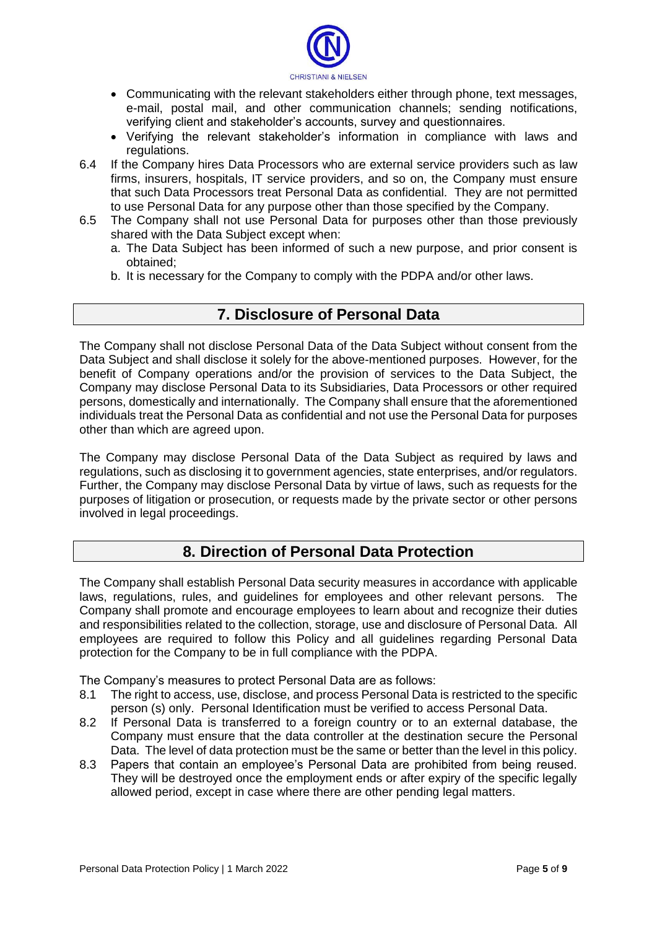

- Communicating with the relevant stakeholders either through phone, text messages, e-mail, postal mail, and other communication channels; sending notifications, verifying client and stakeholder's accounts, survey and questionnaires.
- Verifying the relevant stakeholder's information in compliance with laws and regulations.
- 6.4 If the Company hires Data Processors who are external service providers such as law firms, insurers, hospitals, IT service providers, and so on, the Company must ensure that such Data Processors treat Personal Data as confidential. They are not permitted to use Personal Data for any purpose other than those specified by the Company.
- 6.5 The Company shall not use Personal Data for purposes other than those previously shared with the Data Subject except when:
	- a. The Data Subject has been informed of such a new purpose, and prior consent is obtained;
	- b. It is necessary for the Company to comply with the PDPA and/or other laws.

### **7. Disclosure of Personal Data**

The Company shall not disclose Personal Data of the Data Subject without consent from the Data Subject and shall disclose it solely for the above-mentioned purposes. However, for the benefit of Company operations and/or the provision of services to the Data Subject, the Company may disclose Personal Data to its Subsidiaries, Data Processors or other required persons, domestically and internationally. The Company shall ensure that the aforementioned individuals treat the Personal Data as confidential and not use the Personal Data for purposes other than which are agreed upon.

The Company may disclose Personal Data of the Data Subject as required by laws and regulations, such as disclosing it to government agencies, state enterprises, and/or regulators. Further, the Company may disclose Personal Data by virtue of laws, such as requests for the purposes of litigation or prosecution, or requests made by the private sector or other persons involved in legal proceedings.

### **8. Direction of Personal Data Protection**

The Company shall establish Personal Data security measures in accordance with applicable laws, regulations, rules, and guidelines for employees and other relevant persons. The Company shall promote and encourage employees to learn about and recognize their duties and responsibilities related to the collection, storage, use and disclosure of Personal Data. All employees are required to follow this Policy and all guidelines regarding Personal Data protection for the Company to be in full compliance with the PDPA.

The Company's measures to protect Personal Data are as follows:

- 8.1 The right to access, use, disclose, and process Personal Data is restricted to the specific person (s) only. Personal Identification must be verified to access Personal Data.
- 8.2 If Personal Data is transferred to a foreign country or to an external database, the Company must ensure that the data controller at the destination secure the Personal Data. The level of data protection must be the same or better than the level in this policy.
- 8.3 Papers that contain an employee's Personal Data are prohibited from being reused. They will be destroyed once the employment ends or after expiry of the specific legally allowed period, except in case where there are other pending legal matters.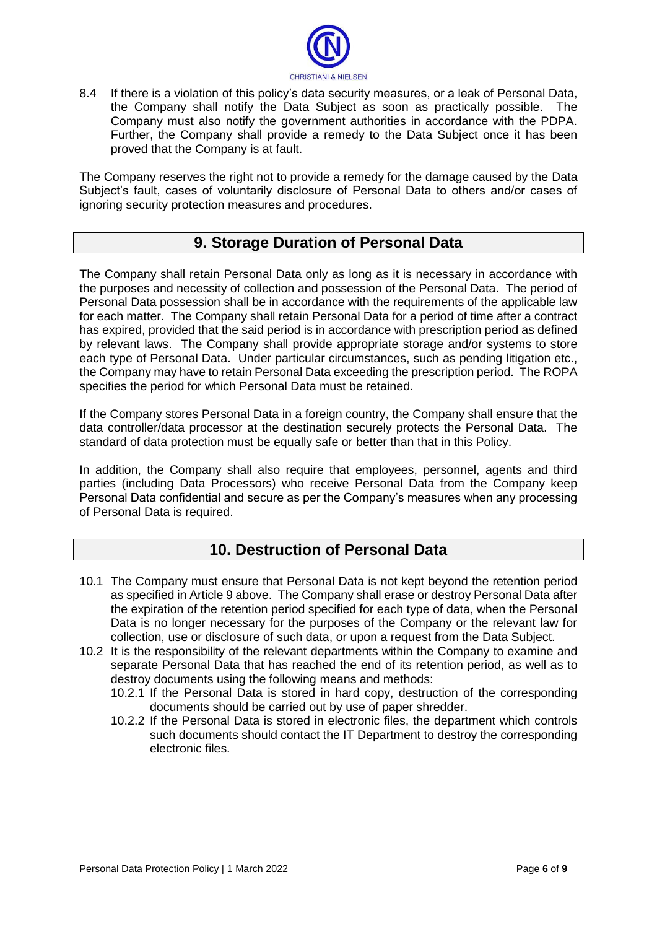

8.4 If there is a violation of this policy's data security measures, or a leak of Personal Data, the Company shall notify the Data Subject as soon as practically possible. The Company must also notify the government authorities in accordance with the PDPA. Further, the Company shall provide a remedy to the Data Subject once it has been proved that the Company is at fault.

The Company reserves the right not to provide a remedy for the damage caused by the Data Subject's fault, cases of voluntarily disclosure of Personal Data to others and/or cases of ignoring security protection measures and procedures.

### **9. Storage Duration of Personal Data**

The Company shall retain Personal Data only as long as it is necessary in accordance with the purposes and necessity of collection and possession of the Personal Data. The period of Personal Data possession shall be in accordance with the requirements of the applicable law for each matter. The Company shall retain Personal Data for a period of time after a contract has expired, provided that the said period is in accordance with prescription period as defined by relevant laws. The Company shall provide appropriate storage and/or systems to store each type of Personal Data. Under particular circumstances, such as pending litigation etc., the Company may have to retain Personal Data exceeding the prescription period. The ROPA specifies the period for which Personal Data must be retained.

If the Company stores Personal Data in a foreign country, the Company shall ensure that the data controller/data processor at the destination securely protects the Personal Data. The standard of data protection must be equally safe or better than that in this Policy.

In addition, the Company shall also require that employees, personnel, agents and third parties (including Data Processors) who receive Personal Data from the Company keep Personal Data confidential and secure as per the Company's measures when any processing of Personal Data is required.

### **10. Destruction of Personal Data**

- 10.1 The Company must ensure that Personal Data is not kept beyond the retention period as specified in Article 9 above. The Company shall erase or destroy Personal Data after the expiration of the retention period specified for each type of data, when the Personal Data is no longer necessary for the purposes of the Company or the relevant law for collection, use or disclosure of such data, or upon a request from the Data Subject.
- 10.2 It is the responsibility of the relevant departments within the Company to examine and separate Personal Data that has reached the end of its retention period, as well as to destroy documents using the following means and methods:
	- 10.2.1 If the Personal Data is stored in hard copy, destruction of the corresponding documents should be carried out by use of paper shredder.
	- 10.2.2 If the Personal Data is stored in electronic files, the department which controls such documents should contact the IT Department to destroy the corresponding electronic files.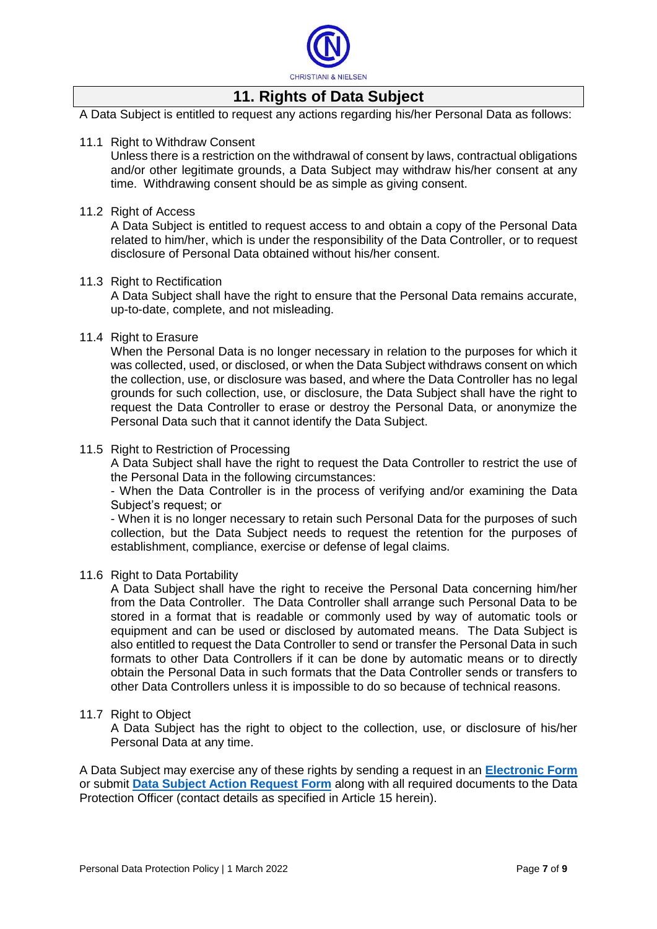

## **11. Rights of Data Subject**

A Data Subject is entitled to request any actions regarding his/her Personal Data as follows:

#### 11.1 Right to Withdraw Consent

Unless there is a restriction on the withdrawal of consent by laws, contractual obligations and/or other legitimate grounds, a Data Subject may withdraw his/her consent at any time. Withdrawing consent should be as simple as giving consent.

#### 11.2 Right of Access

A Data Subject is entitled to request access to and obtain a copy of the Personal Data related to him/her, which is under the responsibility of the Data Controller, or to request disclosure of Personal Data obtained without his/her consent.

#### 11.3 Right to Rectification

A Data Subject shall have the right to ensure that the Personal Data remains accurate, up-to-date, complete, and not misleading.

#### 11.4 Right to Erasure

When the Personal Data is no longer necessary in relation to the purposes for which it was collected, used, or disclosed, or when the Data Subject withdraws consent on which the collection, use, or disclosure was based, and where the Data Controller has no legal grounds for such collection, use, or disclosure, the Data Subject shall have the right to request the Data Controller to erase or destroy the Personal Data, or anonymize the Personal Data such that it cannot identify the Data Subject.

#### 11.5 Right to Restriction of Processing

A Data Subject shall have the right to request the Data Controller to restrict the use of the Personal Data in the following circumstances:

- When the Data Controller is in the process of verifying and/or examining the Data Subject's request; or

- When it is no longer necessary to retain such Personal Data for the purposes of such collection, but the Data Subject needs to request the retention for the purposes of establishment, compliance, exercise or defense of legal claims.

#### 11.6 Right to Data Portability

A Data Subject shall have the right to receive the Personal Data concerning him/her from the Data Controller. The Data Controller shall arrange such Personal Data to be stored in a format that is readable or commonly used by way of automatic tools or equipment and can be used or disclosed by automated means. The Data Subject is also entitled to request the Data Controller to send or transfer the Personal Data in such formats to other Data Controllers if it can be done by automatic means or to directly obtain the Personal Data in such formats that the Data Controller sends or transfers to other Data Controllers unless it is impossible to do so because of technical reasons.

#### 11.7 Right to Object

A Data Subject has the right to object to the collection, use, or disclosure of his/her Personal Data at any time.

A Data Subject may exercise any of these rights by sending a request in an **[Electronic Form](https://cntiweb2.cn-thai.co.th/form_pdpa/form_en)** or submit **[Data Subject Action Request Form](http://cntiweb.cn-thai.co.th:82/CN_Informations/doc/CNT%20Data%20Subject%20Req%20E.pdf)** along with all required documents to the Data Protection Officer (contact details as specified in Article 15 herein).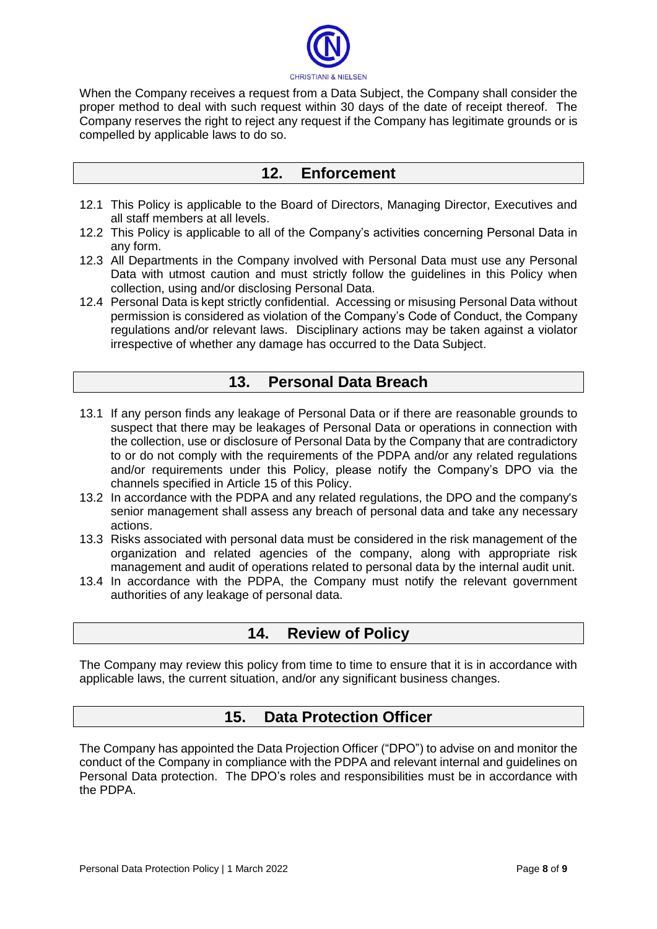

When the Company receives a request from a Data Subject, the Company shall consider the proper method to deal with such request within 30 days of the date of receipt thereof. The Company reserves the right to reject any request if the Company has legitimate grounds or is compelled by applicable laws to do so.

## **12. Enforcement**

- 12.1 This Policy is applicable to the Board of Directors, Managing Director, Executives and all staff members at all levels.
- 12.2 This Policy is applicable to all of the Company's activities concerning Personal Data in any form.
- 12.3 All Departments in the Company involved with Personal Data must use any Personal Data with utmost caution and must strictly follow the guidelines in this Policy when collection, using and/or disclosing Personal Data.
- 12.4 Personal Data is kept strictly confidential. Accessing or misusing Personal Data without permission is considered as violation of the Company's Code of Conduct, the Company regulations and/or relevant laws. Disciplinary actions may be taken against a violator irrespective of whether any damage has occurred to the Data Subject.

### **13. Personal Data Breach**

- 13.1 If any person finds any leakage of Personal Data or if there are reasonable grounds to suspect that there may be leakages of Personal Data or operations in connection with the collection, use or disclosure of Personal Data by the Company that are contradictory to or do not comply with the requirements of the PDPA and/or any related regulations and/or requirements under this Policy, please notify the Company's DPO via the channels specified in Article 15 of this Policy.
- 13.2 In accordance with the PDPA and any related regulations, the DPO and the company's senior management shall assess any breach of personal data and take any necessary actions.
- 13.3 Risks associated with personal data must be considered in the risk management of the organization and related agencies of the company, along with appropriate risk management and audit of operations related to personal data by the internal audit unit.
- 13.4 In accordance with the PDPA, the Company must notify the relevant government authorities of any leakage of personal data.

### **14. Review of Policy**

The Company may review this policy from time to time to ensure that it is in accordance with applicable laws, the current situation, and/or any significant business changes.

### **15. Data Protection Officer**

The Company has appointed the Data Projection Officer ("DPO") to advise on and monitor the conduct of the Company in compliance with the PDPA and relevant internal and guidelines on Personal Data protection. The DPO's roles and responsibilities must be in accordance with the PDPA.